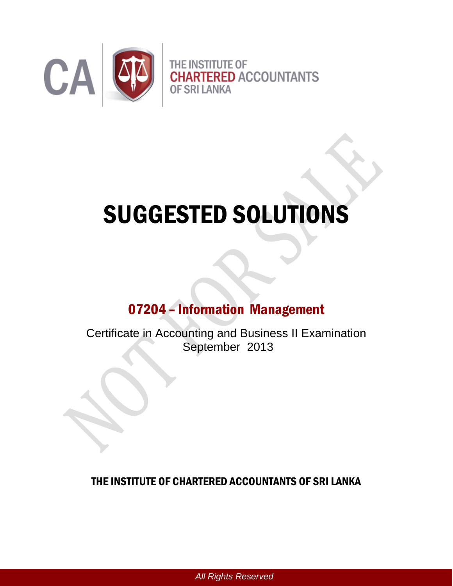

# SUGGESTED SOLUTIONS

## 07204 – Information Management

Certificate in Accounting and Business II Examination September 2013

### THE INSTITUTE OF CHARTERED ACCOUNTANTS OF SRI LANKA

*All Rights Reserved*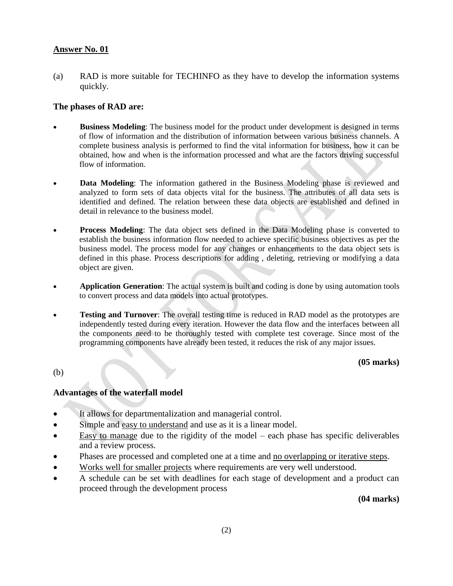(a) RAD is more suitable for TECHINFO as they have to develop the information systems quickly.

#### **The phases of RAD are:**

- **Business Modeling**: The business model for the product under development is designed in terms of flow of information and the distribution of information between various business channels. A complete business analysis is performed to find the vital information for business, how it can be obtained, how and when is the information processed and what are the factors driving successful flow of information.
- **Data Modeling**: The information gathered in the Business Modeling phase is reviewed and analyzed to form sets of data objects vital for the business. The attributes of all data sets is identified and defined. The relation between these data objects are established and defined in detail in relevance to the business model.
- **Process Modeling**: The data object sets defined in the Data Modeling phase is converted to establish the business information flow needed to achieve specific business objectives as per the business model. The process model for any changes or enhancements to the data object sets is defined in this phase. Process descriptions for adding , deleting, retrieving or modifying a data object are given.
- **Application Generation**: The actual system is built and coding is done by using automation tools to convert process and data models into actual prototypes.
- **Testing and Turnover**: The overall testing time is reduced in RAD model as the prototypes are independently tested during every iteration. However the data flow and the interfaces between all the components need to be thoroughly tested with complete test coverage. Since most of the programming components have already been tested, it reduces the risk of any major issues.

**(05 marks)**

(b)

#### **Advantages of the waterfall model**

- It allows for departmentalization and managerial control.
- Simple and easy to understand and use as it is a linear model.
- Easy to manage due to the rigidity of the model each phase has specific deliverables and a review process.
- Phases are processed and completed one at a time and no overlapping or iterative steps.
- Works well for smaller projects where requirements are very well understood.
- A schedule can be set with deadlines for each stage of development and a product can proceed through the development process

**(04 marks)**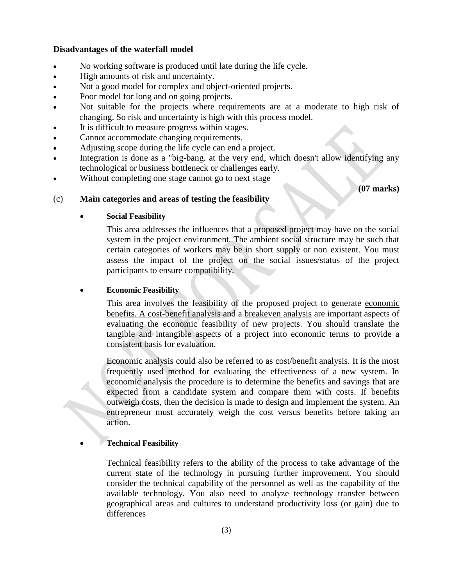#### **Disadvantages of the waterfall model**

- No working software is produced until late during the life cycle.
- High amounts of risk and uncertainty.
- Not a good model for complex and object-oriented projects.
- Poor model for long and on going projects.
- Not suitable for the projects where requirements are at a moderate to high risk of changing. So risk and uncertainty is high with this process model.
- It is difficult to measure progress within stages.
- Cannot accommodate changing requirements.
- Adjusting scope during the life cycle can end a project.
- Integration is done as a "big-bang. at the very end, which doesn't allow identifying any technological or business bottleneck or challenges early.
- Without completing one stage cannot go to next stage

**(07 marks)**

#### (c) **Main categories and areas of testing the feasibility**

#### **Social Feasibility**

This area addresses the influences that a proposed project may have on the social system in the project environment. The ambient social structure may be such that certain categories of workers may be in short supply or non existent. You must assess the impact of the project on the social issues/status of the project participants to ensure compatibility.

#### **Economic Feasibility**

This area involves the feasibility of the proposed project to generate economic benefits. A cost-benefit analysis and a breakeven analysis are important aspects of evaluating the economic feasibility of new projects. You should translate the tangible and intangible aspects of a project into economic terms to provide a consistent basis for evaluation.

Economic analysis could also be referred to as cost/benefit analysis. It is the most frequently used method for evaluating the effectiveness of a new system. In economic analysis the procedure is to determine the benefits and savings that are expected from a candidate system and compare them with costs. If benefits outweigh costs, then the decision is made to design and implement the system. An entrepreneur must accurately weigh the cost versus benefits before taking an action.

#### **Technical Feasibility**

Technical feasibility refers to the ability of the process to take advantage of the current state of the technology in pursuing further improvement. You should consider the technical capability of the personnel as well as the capability of the available technology. You also need to analyze technology transfer between geographical areas and cultures to understand productivity loss (or gain) due to differences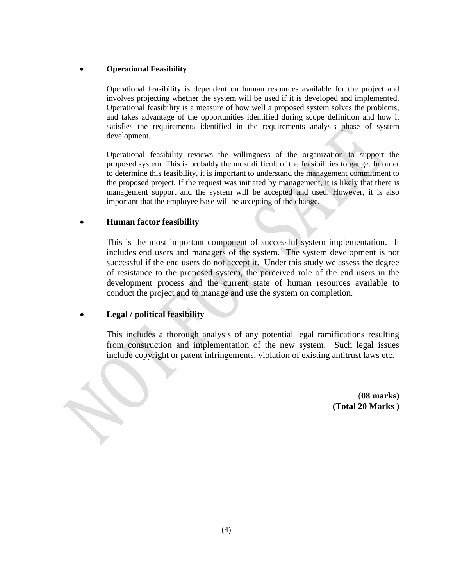#### **Operational Feasibility**

Operational feasibility is dependent on human resources available for the project and involves projecting whether the system will be used if it is developed and implemented. Operational feasibility is a measure of how well a proposed system solves the problems, and takes advantage of the opportunities identified during scope definition and how it satisfies the requirements identified in the requirements analysis phase of system development.

Operational feasibility reviews the willingness of the organization to support the proposed system. This is probably the most difficult of the feasibilities to gauge. In order to determine this feasibility, it is important to understand the management commitment to the proposed project. If the request was initiated by management, it is likely that there is management support and the system will be accepted and used. However, it is also important that the employee base will be accepting of the change.

#### **Human factor feasibility**

This is the most important component of successful system implementation. It includes end users and managers of the system. The system development is not successful if the end users do not accept it. Under this study we assess the degree of resistance to the proposed system, the perceived role of the end users in the development process and the current state of human resources available to conduct the project and to manage and use the system on completion.

#### **Legal / political feasibility**

This includes a thorough analysis of any potential legal ramifications resulting from construction and implementation of the new system. Such legal issues include copyright or patent infringements, violation of existing antitrust laws etc.

> (**08 marks) (Total 20 Marks )**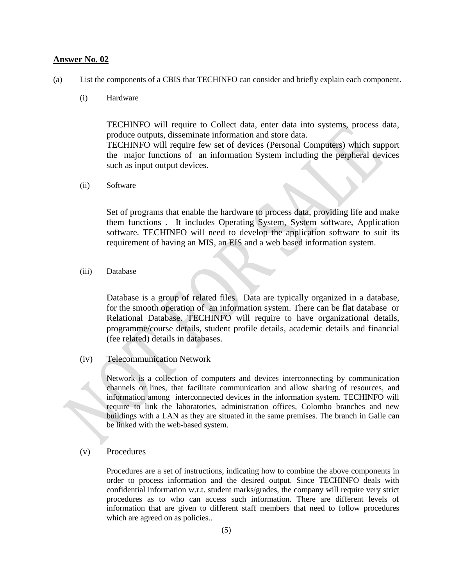- (a) List the components of a CBIS that TECHINFO can consider and briefly explain each component.
	- (i) Hardware

TECHINFO will require to Collect data, enter data into systems, process data, produce outputs, disseminate information and store data.

TECHINFO will require few set of devices (Personal Computers) which support the major functions of an information System including the perpheral devices such as input output devices.

(ii) Software

Set of programs that enable the hardware to process data, providing life and make them functions . It includes Operating System, System software, Application software. TECHINFO will need to develop the application software to suit its requirement of having an MIS, an EIS and a web based information system.

(iii) Database

Database is a group of related files. Data are typically organized in a database, for the smooth operation of an information system. There can be flat database or Relational Database. TECHINFO will require to have organizational details, programme/course details, student profile details, academic details and financial (fee related) details in databases.

(iv) Telecommunication Network

Network is a collection of computers and devices interconnecting by communication channels or lines, that facilitate communication and allow sharing of resources, and information among interconnected devices in the information system. TECHINFO will require to link the laboratories, administration offices, Colombo branches and new buildings with a LAN as they are situated in the same premises. The branch in Galle can be linked with the web-based system.

(v) Procedures

Procedures are a set of instructions, indicating how to combine the above components in order to process information and the desired output. Since TECHINFO deals with confidential information w.r.t. student marks/grades, the company will require very strict procedures as to who can access such information. There are different levels of information that are given to different staff members that need to follow procedures which are agreed on as policies..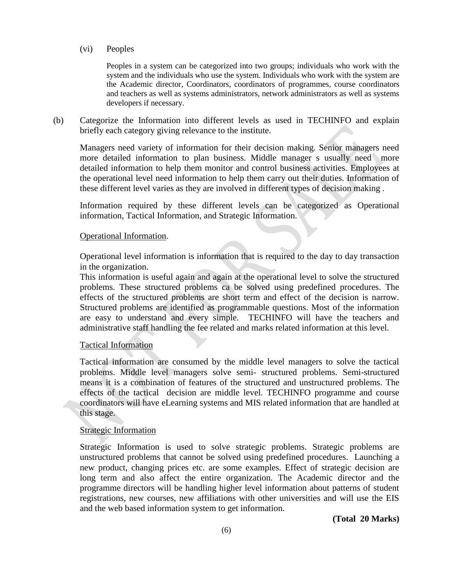#### (vi) Peoples

Peoples in a system can be categorized into two groups; individuals who work with the system and the individuals who use the system. Individuals who work with the system are the Academic director, Coordinators, coordinators of programmes, course coordinators and teachers as well as systems administrators, network administrators as well as systems developers if necessary.

(b) Categorize the Information into different levels as used in TECHINFO and explain briefly each category giving relevance to the institute.

Managers need variety of information for their decision making. Senior managers need more detailed information to plan business. Middle manager s usually need more detailed information to help them monitor and control business activities. Employees at the operational level need information to help them carry out their duties. Information of these different level varies as they are involved in different types of decision making .

Information required by these different levels can be categorized as Operational information, Tactical Information, and Strategic Information.

#### Operational Information.

Operational level information is information that is required to the day to day transaction in the organization.

This information is useful again and again at the operational level to solve the structured problems. These structured problems ca be solved using predefined procedures. The effects of the structured problems are short term and effect of the decision is narrow. Structured problems are identified as programmable questions. Most of the information are easy to understand and every simple. TECHINFO will have the teachers and administrative staff handling the fee related and marks related information at this level.

#### Tactical Information

Tactical information are consumed by the middle level managers to solve the tactical problems. Middle level managers solve semi- structured problems. Semi-structured means it is a combination of features of the structured and unstructured problems. The effects of the tactical decision are middle level. TECHINFO programme and course coordinators will have eLearning systems and MIS related information that are handled at this stage.

#### Strategic Information

Strategic Information is used to solve strategic problems. Strategic problems are unstructured problems that cannot be solved using predefined procedures. Launching a new product, changing prices etc. are some examples. Effect of strategic decision are long term and also affect the entire organization. The Academic director and the programme directors will be handling higher level information about patterns of student registrations, new courses, new affiliations with other universities and will use the EIS and the web based information system to get information.

**(Total 20 Marks)**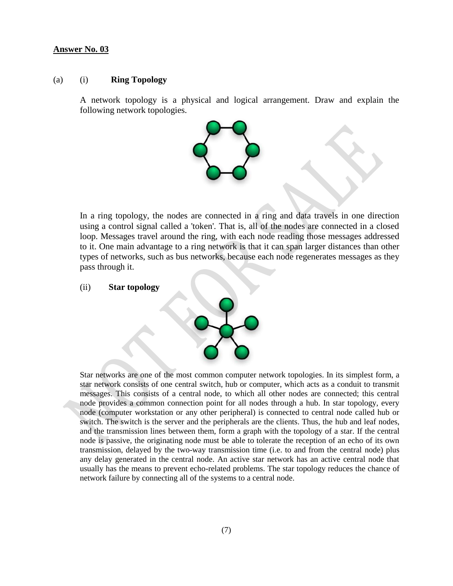#### (a) (i) **Ring Topology**

A network topology is a physical and logical arrangement. Draw and explain the following network topologies.



In a ring topology, the nodes are connected in a ring and data travels in one direction using a control signal called a 'token'. That is, all of the nodes are connected in a closed loop. Messages travel around the ring, with each node reading those messages addressed to it. One main advantage to a ring network is that it can span larger distances than other types of networks, such as bus networks, because each node regenerates messages as they pass through it.

#### (ii) **Star topology**



Star networks are one of the most common [computer network](http://en.wikipedia.org/wiki/Computer_network) [topologies.](http://en.wikipedia.org/wiki/Network_topology) In its simplest form, a star network consists of one central [switch,](http://en.wikipedia.org/wiki/Network_switch) [hub](http://en.wikipedia.org/wiki/Network_hub) or computer, which acts as a conduit to transmit messages. This consists of a central node, to which all other nodes are connected; this central node provides a common connection point for all nodes through a hub. In star topology, every node (computer workstation or any other peripheral) is connected to central node called hub or switch. The switch is the server and the peripherals are the clients. Thus, the hub and leaf nodes, and the transmission lines between them, form a graph with the topology of a [star.](http://en.wikipedia.org/wiki/Star_%28graph_theory%29) If the central node is passive, the originating node must be able to tolerate the reception of an echo of its own transmission, delayed by the two-way transmission time (i.e. to and from the central node) plus any delay generated in the central node. An active star network has an active central node that usually has the means to prevent echo-related problems. The star topology reduces the chance of network failure by connecting all of the systems to a central node.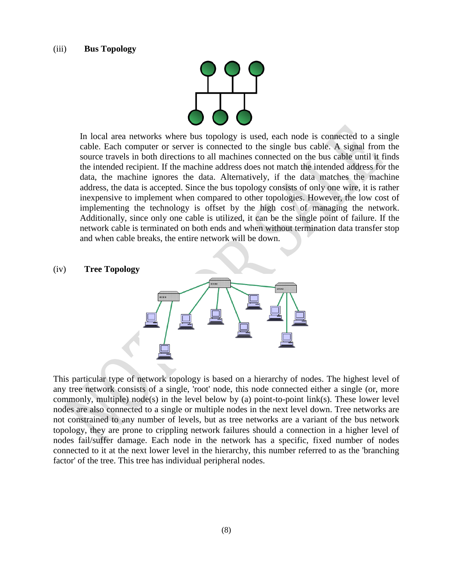

In local area networks where bus topology is used, each node is connected to a single cable. Each computer or server is connected to the single bus cable. A signal from the source travels in both directions to all machines connected on the bus cable until it finds the intended recipient. If the machine address does not match the intended address for the data, the machine ignores the data. Alternatively, if the data matches the machine address, the data is accepted. Since the bus topology consists of only one wire, it is rather inexpensive to implement when compared to other topologies. However, the low cost of implementing the technology is offset by the high cost of managing the network. Additionally, since only one cable is utilized, it can be the [single point of failure.](http://en.wikipedia.org/wiki/Single_point_of_failure) If the network cable is [terminated](http://en.wikipedia.org/wiki/Electrical_termination) on both ends and when without termination data transfer stop and when cable breaks, the entire network will be down.

#### (iv) **Tree Topology**



This particular type of network topology is based on a hierarchy of nodes. The highest level of any tree network consists of a single, 'root' node, this node connected either a single (or, more commonly, multiple) node(s) in the level below by (a) point-to-point link(s). These lower level nodes are also connected to a single or multiple nodes in the next level down. Tree networks are not constrained to any number of levels, but as tree networks are a variant of the bus network topology, they are prone to crippling network failures should a connection in a higher level of nodes fail/suffer damage. Each node in the network has a specific, fixed number of nodes connected to it at the next lower level in the hierarchy, this number referred to as the 'branching factor' of the tree. This tree has individual peripheral nodes.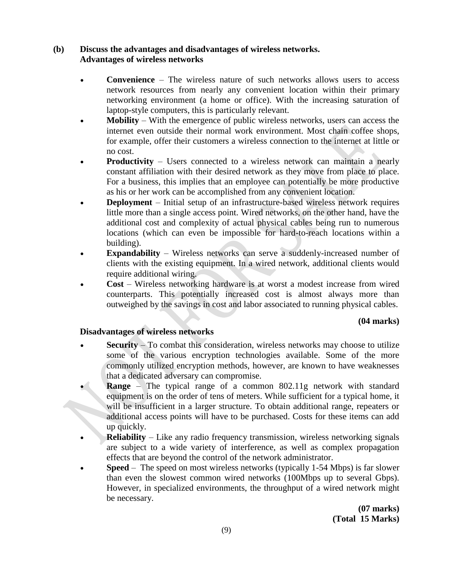#### **(b) Discuss the advantages and disadvantages of wireless networks. Advantages of wireless networks**

- **Convenience**  The wireless nature of such networks allows users to access network resources from nearly any convenient location within their primary networking environment (a home or office). With the increasing saturation of laptop-style computers, this is particularly relevant.
- **Mobility** With the emergence of public wireless networks, users can access the internet even outside their normal work environment. Most chain coffee shops, for example, offer their customers a wireless connection to the internet at little or no cost.
- **Productivity** Users connected to a wireless network can maintain a nearly constant affiliation with their desired network as they move from place to place. For a business, this implies that an employee can potentially be more productive as his or her work can be accomplished from any convenient location.
- **Deployment**  Initial setup of an infrastructure-based wireless network requires little more than a single access point. Wired networks, on the other hand, have the additional cost and complexity of actual physical cables being run to numerous locations (which can even be impossible for hard-to-reach locations within a building).
- **Expandability** Wireless networks can serve a suddenly-increased number of clients with the existing equipment. In a wired network, additional clients would require additional wiring.
- **Cost** Wireless networking hardware is at worst a modest increase from wired counterparts. This potentially increased cost is almost always more than outweighed by the savings in cost and labor associated to running physical cables.

#### **(04 marks)**

#### **Disadvantages of wireless networks**

- **Security**  To combat this consideration, wireless networks may choose to utilize some of the various encryption technologies available. Some of the more commonly utilized encryption methods, however, are known to have weaknesses that a dedicated adversary can compromise.
- **Range**  The typical range of a common 802.11g network with standard equipment is on the order of tens of meters. While sufficient for a typical home, it will be insufficient in a larger structure. To obtain additional range, repeaters or additional access points will have to be purchased. Costs for these items can add up quickly.
- **Reliability** Like any radio frequency transmission, wireless networking signals are subject to a wide variety of interference, as well as complex propagation effects that are beyond the control of the network administrator.
- **Speed** The speed on most wireless networks (typically 1-54 Mbps) is far slower than even the slowest common wired networks (100Mbps up to several Gbps). However, in specialized environments, the throughput of a wired network might be necessary.

**(07 marks) (Total 15 Marks)**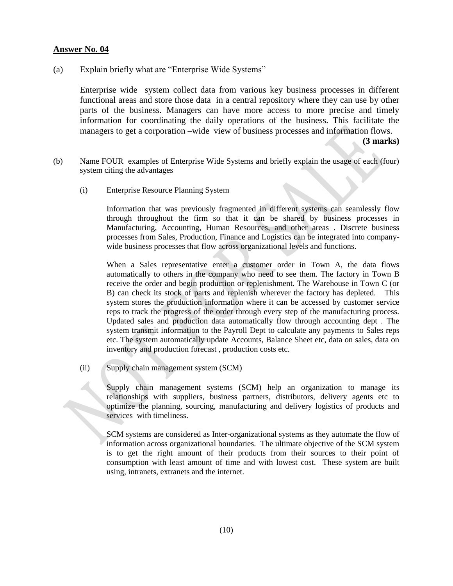(a) Explain briefly what are "Enterprise Wide Systems"

Enterprise wide system collect data from various key business processes in different functional areas and store those data in a central repository where they can use by other parts of the business. Managers can have more access to more precise and timely information for coordinating the daily operations of the business. This facilitate the managers to get a corporation –wide view of business processes and information flows.

**(3 marks)**

- (b) Name FOUR examples of Enterprise Wide Systems and briefly explain the usage of each (four) system citing the advantages
	- (i) Enterprise Resource Planning System

Information that was previously fragmented in different systems can seamlessly flow through throughout the firm so that it can be shared by business processes in Manufacturing, Accounting, Human Resources, and other areas . Discrete business processes from Sales, Production, Finance and Logistics can be integrated into companywide business processes that flow across organizational levels and functions.

When a Sales representative enter a customer order in Town A, the data flows automatically to others in the company who need to see them. The factory in Town B receive the order and begin production or replenishment. The Warehouse in Town C (or B) can check its stock of parts and replenish wherever the factory has depleted. This system stores the production information where it can be accessed by customer service reps to track the progress of the order through every step of the manufacturing process. Updated sales and production data automatically flow through accounting dept . The system transmit information to the Payroll Dept to calculate any payments to Sales reps etc. The system automatically update Accounts, Balance Sheet etc, data on sales, data on inventory and production forecast , production costs etc.

(ii) Supply chain management system (SCM)

Supply chain management systems (SCM) help an organization to manage its relationships with suppliers, business partners, distributors, delivery agents etc to optimize the planning, sourcing, manufacturing and delivery logistics of products and services with timeliness.

SCM systems are considered as Inter-organizational systems as they automate the flow of information across organizational boundaries. The ultimate objective of the SCM system is to get the right amount of their products from their sources to their point of consumption with least amount of time and with lowest cost. These system are built using, intranets, extranets and the internet.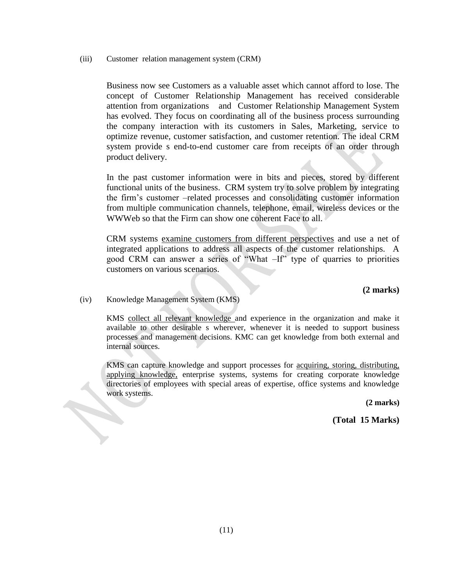(iii) Customer relation management system (CRM)

Business now see Customers as a valuable asset which cannot afford to lose. The concept of Customer Relationship Management has received considerable attention from organizations and Customer Relationship Management System has evolved. They focus on coordinating all of the business process surrounding the company interaction with its customers in Sales, Marketing, service to optimize revenue, customer satisfaction, and customer retention. The ideal CRM system provide s end-to-end customer care from receipts of an order through product delivery.

In the past customer information were in bits and pieces, stored by different functional units of the business. CRM system try to solve problem by integrating the firm's customer –related processes and consolidating customer information from multiple communication channels, telephone, email, wireless devices or the WWWeb so that the Firm can show one coherent Face to all.

CRM systems examine customers from different perspectives and use a net of integrated applications to address all aspects of the customer relationships. A good CRM can answer a series of "What –If" type of quarries to priorities customers on various scenarios.

#### **(2 marks)**

(iv) Knowledge Management System (KMS)

H.

KMS collect all relevant knowledge and experience in the organization and make it available to other desirable s wherever, whenever it is needed to support business processes and management decisions. KMC can get knowledge from both external and internal sources.

KMS can capture knowledge and support processes for acquiring, storing, distributing, applying knowledge, enterprise systems, systems for creating corporate knowledge directories of employees with special areas of expertise, office systems and knowledge work systems.

**(2 marks)**

**(Total 15 Marks)**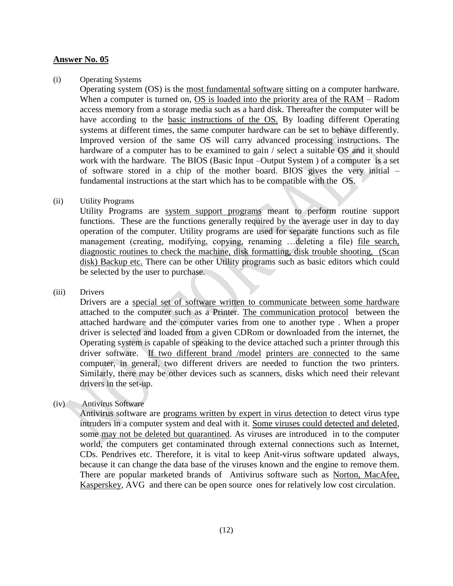#### (i) Operating Systems

Operating system (OS) is the most fundamental software sitting on a computer hardware. When a computer is turned on, OS is loaded into the priority area of the RAM – Radom access memory from a storage media such as a hard disk. Thereafter the computer will be have according to the basic instructions of the OS. By loading different Operating systems at different times, the same computer hardware can be set to behave differently. Improved version of the same OS will carry advanced processing instructions. The hardware of a computer has to be examined to gain / select a suitable OS and it should work with the hardware. The BIOS (Basic Input –Output System ) of a computer is a set of software stored in a chip of the mother board. BIOS gives the very initial – fundamental instructions at the start which has to be compatible with the OS.

#### (ii) Utility Programs

Utility Programs are system support programs meant to perform routine support functions. These are the functions generally required by the average user in day to day operation of the computer. Utility programs are used for separate functions such as file management (creating, modifying, copying, renaming …deleting a file) file search, diagnostic routines to check the machine, disk formatting, disk trouble shooting, (Scan disk) Backup etc. There can be other Utility programs such as basic editors which could be selected by the user to purchase.

#### (iii) Drivers

Drivers are a special set of software written to communicate between some hardware attached to the computer such as a Printer. The communication protocol between the attached hardware and the computer varies from one to another type . When a proper driver is selected and loaded from a given CDRom or downloaded from the internet, the Operating system is capable of speaking to the device attached such a printer through this driver software. If two different brand /model printers are connected to the same computer, in general, two different drivers are needed to function the two printers. Similarly, there may be other devices such as scanners, disks which need their relevant drivers in the set-up.

#### (iv) Antivirus Software

Antivirus software are programs written by expert in virus detection to detect virus type intruders in a computer system and deal with it. Some viruses could detected and deleted, some may not be deleted but quarantined. As viruses are introduced in to the computer world, the computers get contaminated through external connections such as Internet, CDs. Pendrives etc. Therefore, it is vital to keep Anit-virus software updated always, because it can change the data base of the viruses known and the engine to remove them. There are popular marketed brands of Antivirus software such as Norton, MacAfee, Kasperskey, AVG and there can be open source ones for relatively low cost circulation.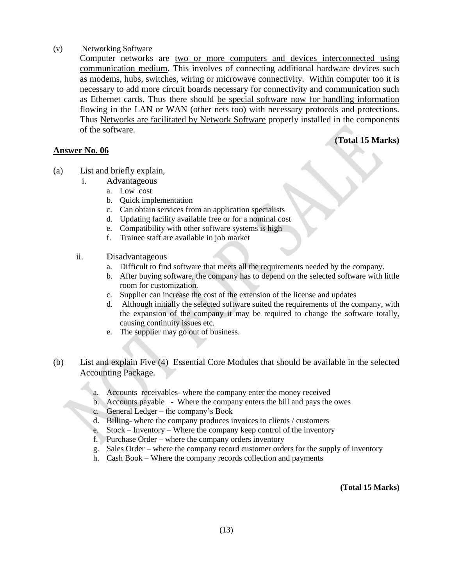#### (v) Networking Software

Computer networks are two or more computers and devices interconnected using communication medium. This involves of connecting additional hardware devices such as modems, hubs, switches, wiring or microwave connectivity. Within computer too it is necessary to add more circuit boards necessary for connectivity and communication such as Ethernet cards. Thus there should be special software now for handling information flowing in the LAN or WAN (other nets too) with necessary protocols and protections. Thus Networks are facilitated by Network Software properly installed in the components of the software.

#### **Answer No. 06**

**(Total 15 Marks)**

- (a) List and briefly explain,
	- i. Advantageous
		- a. Low cost
			- b. Quick implementation
			- c. Can obtain services from an application specialists
			- d. Updating facility available free or for a nominal cost
			- e. Compatibility with other software systems is high
			- f. Trainee staff are available in job market
	- ii. Disadvantageous
		- a. Difficult to find software that meets all the requirements needed by the company.
		- b. After buying software, the company has to depend on the selected software with little room for customization.
		- c. Supplier can increase the cost of the extension of the license and updates
		- d. Although initially the selected software suited the requirements of the company, with the expansion of the company it may be required to change the software totally, causing continuity issues etc.
		- e. The supplier may go out of business.
- (b) List and explain Five (4) Essential Core Modules that should be available in the selected Accounting Package.
	- a. Accounts receivables- where the company enter the money received
	- b. Accounts payable Where the company enters the bill and pays the owes
	- c. General Ledger the company's Book
	- d. Billing- where the company produces invoices to clients / customers
	- e. Stock Inventory Where the company keep control of the inventory
	- f. Purchase Order where the company orders inventory
	- g. Sales Order where the company record customer orders for the supply of inventory
	- h. Cash Book Where the company records collection and payments

**(Total 15 Marks)**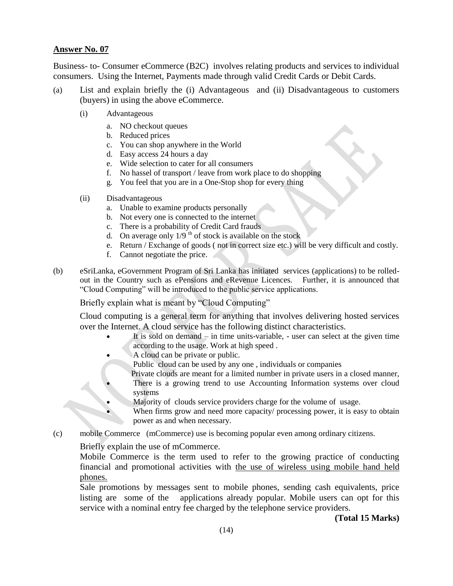Business- to- Consumer eCommerce (B2C) involves relating products and services to individual consumers. Using the Internet, Payments made through valid Credit Cards or Debit Cards.

- (a) List and explain briefly the (i) Advantageous and (ii) Disadvantageous to customers (buyers) in using the above eCommerce.
	- (i) Advantageous
		- a. NO checkout queues
		- b. Reduced prices
		- c. You can shop anywhere in the World
		- d. Easy access 24 hours a day
		- e. Wide selection to cater for all consumers
		- f. No hassel of transport / leave from work place to do shopping
		- g. You feel that you are in a One-Stop shop for every thing
	- (ii) Disadvantageous
		- a. Unable to examine products personally
		- b. Not every one is connected to the internet
		- c. There is a probability of Credit Card frauds
		- d. On average only  $1/9$ <sup>th</sup> of stock is available on the stock
		- e. Return / Exchange of goods ( not in correct size etc.) will be very difficult and costly.
		- f. Cannot negotiate the price.
- (b) eSriLanka, eGovernment Program of Sri Lanka has initiated services (applications) to be rolledout in the Country such as ePensions and eRevenue Licences. Further, it is announced that "Cloud Computing" will be introduced to the public service applications.

Briefly explain what is meant by "Cloud Computing"

Cloud computing is a general term for anything that involves delivering hosted services over the Internet. A cloud service has the following distinct characteristics.

- It is sold on demand in time units-variable, user can select at the given time according to the usage. Work at high speed .
	- A cloud can be private or public.
		- Public cloud can be used by any one , individuals or companies
		- Private clouds are meant for a limited number in private users in a closed manner,
- There is a growing trend to use Accounting Information systems over cloud systems
- Majority of clouds service providers charge for the volume of usage.
- When firms grow and need more capacity/ processing power, it is easy to obtain power as and when necessary.
- (c) mobile Commerce (mCommerce) use is becoming popular even among ordinary citizens.

Briefly explain the use of mCommerce.

Mobile Commerce is the term used to refer to the growing practice of conducting financial and promotional activities with the use of wireless using mobile hand held phones.

Sale promotions by messages sent to mobile phones, sending cash equivalents, price listing are some of the applications already popular. Mobile users can opt for this service with a nominal entry fee charged by the telephone service providers.

**(Total 15 Marks)**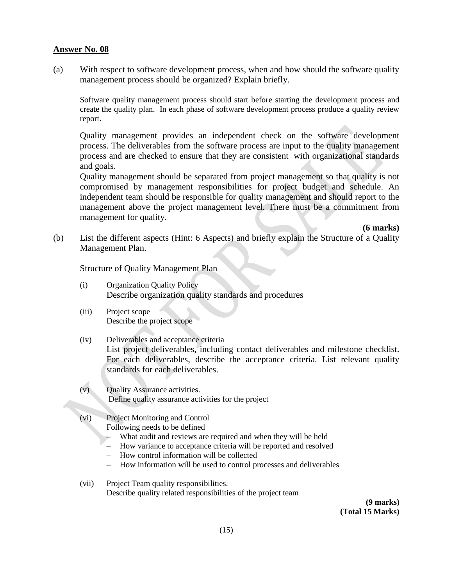(a) With respect to software development process, when and how should the software quality management process should be organized? Explain briefly.

Software quality management process should start before starting the development process and create the quality plan. In each phase of software development process produce a quality review report.

Quality management provides an independent check on the software development process. The deliverables from the software process are input to the quality management process and are checked to ensure that they are consistent with organizational standards and goals.

Quality management should be separated from project management so that quality is not compromised by management responsibilities for project budget and schedule. An independent team should be responsible for quality management and should report to the management above the project management level. There must be a commitment from management for quality.

**(6 marks)**

(b) List the different aspects (Hint: 6 Aspects) and briefly explain the Structure of a Quality Management Plan.

Structure of Quality Management Plan

- (i) Organization Quality Policy Describe organization quality standards and procedures
- (iii) Project scope Describe the project scope
- (iv) Deliverables and acceptance criteria List project deliverables, including contact deliverables and milestone checklist. For each deliverables, describe the acceptance criteria. List relevant quality standards for each deliverables.
- (v) Quality Assurance activities. Define quality assurance activities for the project
- (vi) Project Monitoring and Control Following needs to be defined
	- What audit and reviews are required and when they will be held
	- How variance to acceptance criteria will be reported and resolved
	- How control information will be collected
	- How information will be used to control processes and deliverables
- (vii) Project Team quality responsibilities. Describe quality related responsibilities of the project team

**(9 marks) (Total 15 Marks)**